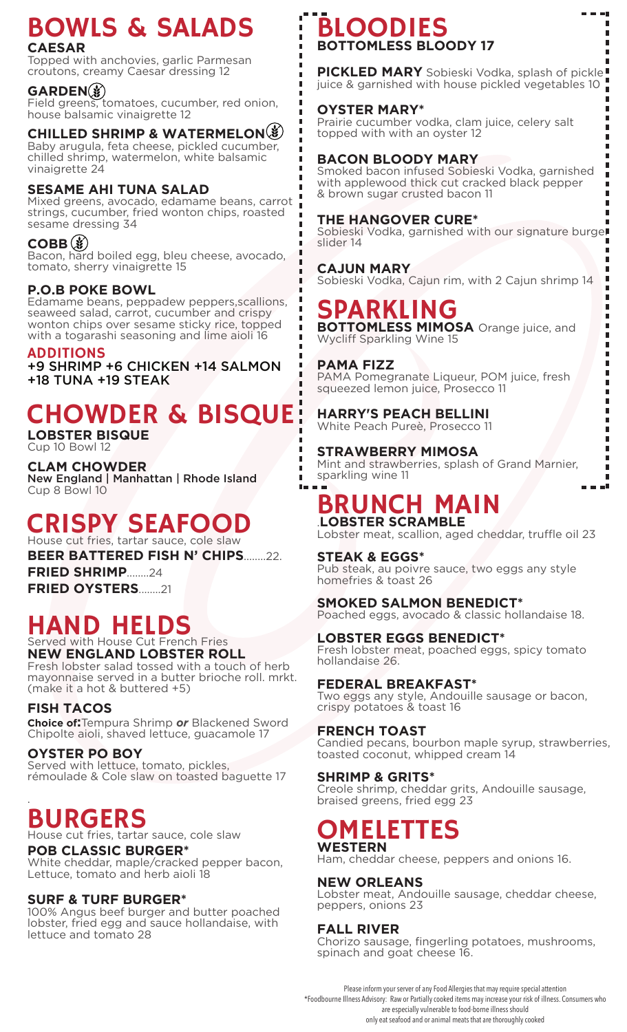### BOWLS & SALADS **CAESAR**

Topped with anchovies, garlic Parmesan croutons, creamy Caesar dressing 12

#### **GARDEN**

Field greens, tomatoes, cucumber, red onion, house balsamic vinaigrette 12

#### **CHILLED SHRIMP & WATERMELON**

Baby arugula, feta cheese, pickled cucumber, chilled shrimp, watermelon, white balsamic vinaigrette 24

#### **SESAME AHI TUNA SALAD**

Mixed greens, avocado, edamame beans, carrot strings, cucumber, fried wonton chips, roasted sesame dressing 34

#### **COBB ③**

Bacon, hard boiled egg, bleu cheese, avocado, tomato, sherry vinaigrette 15

#### **P.O.B POKE BOWL**

Edamame beans, peppadew peppers,scallions, seaweed salad, carrot, cucumber and crispy wonton chips over sesame sticky rice, topped with a togarashi seasoning and lime aioli 16

#### ADDITIONS

+9 SHRIMP +6 CHICKEN +14 SALMON +18 TUNA +19 STEAK

# CHOWDER & BISQUE

**LOBSTER BISQUE** Cup 10 Bowl 12

**CLAM CHOWDER** New England | Manhattan | Rhode Island Cup 8 Bowl 10

#### CRISPY SEAFOOD House cut fries, tartar sauce, cole slaw

**BEER BATTERED FISH N' CHIPS**........22.

**FRIED SHRIMP**........24 **FRIED OYSTERS**........21

# HAND HELDS

Served with House Cut French Fries **NEW ENGLAND LOBSTER ROLL** Fresh lobster salad tossed with a touch of herb

mayonnaise served in a butter brioche roll. mrkt. (make it a hot & buttered +5)

#### **FISH TACOS**

**Choice of:**Tempura Shrimp *or* Blackened Sword Chipolte aioli, shaved lettuce, guacamole 17

#### **OYSTER PO BOY**

Served with lettuce, tomato, pickles, rémoulade & Cole slaw on toasted baguette 17

#### . BURGERS

House cut fries, tartar sauce, cole slaw

#### **POB CLASSIC BURGER\***

White cheddar, maple/cracked pepper bacon, Lettuce, tomato and herb aioli 18

#### **SURF & TURF BURGER\***

100% Angus beef burger and butter poached lobster, fried egg and sauce hollandaise, with lettuce and tomato 28

### BLOODIES **BOTTOMLESS BLOODY 17**

**PICKLED MARY** Sobieski Vodka, splash of pickle! juice & garnished with house pickled vegetables 10

г

Æ

#### **OYSTER MARY\***

Prairie cucumber vodka, clam juice, celery salt topped with with an oyster 12

#### **BACON BLOODY MARY**

Smoked bacon infused Sobieski Vodka, garnished with applewood thick cut cracked black pepper & brown sugar crusted bacon 11

#### **THE HANGOVER CURE\***

Sobieski Vodka, garnished with our signature burger slider 14

#### **CAJUN MARY**

Sobieski Vodka, Cajun rim, with 2 Cajun shrimp 14

## SPARKLING

**BOTTOMLESS MIMOSA** Orange juice, and Wycliff Sparkling Wine 15

#### **PAMA FIZZ**

 $\blacksquare$ l = PAMA Pomegranate Liqueur, POM juice, fresh squeezed lemon juice, Prosecco 11

#### **HARRY'S PEACH BELLINI**  White Peach Pureè, Prosecco 11

**STRAWBERRY MIMOSA** Mint and strawberries, splash of Grand Marnier, sparkling wine 11

### BRUNCH MAIN .**LOBSTER SCRAMBLE**

Lobster meat, scallion, aged cheddar, truffle oil 23

#### **STEAK & EGGS\***

Pub steak, au poivre sauce, two eggs any style homefries & toast 26

#### **SMOKED SALMON BENEDICT\***

Poached eggs, avocado & classic hollandaise 18.

#### **LOBSTER EGGS BENEDICT\***

Fresh lobster meat, poached eggs, spicy tomato hollandaise 26.

#### **FEDERAL BREAKFAST\***

Two eggs any style, Andouille sausage or bacon, crispy potatoes & toast 16

#### **FRENCH TOAST**

Candied pecans, bourbon maple syrup, strawberries, toasted coconut, whipped cream 14

#### **SHRIMP & GRITS\***

Creole shrimp, cheddar grits, Andouille sausage, braised greens, fried egg 23

#### OMELETTES **WESTERN**

Ham, cheddar cheese, peppers and onions 16.

#### **NEW ORLEANS**

Lobster meat, Andouille sausage, cheddar cheese, peppers, onions 23

#### **FALL RIVER**

Chorizo sausage, fingerling potatoes, mushrooms, spinach and goat cheese 16.

Please inform your server of any Food Allergies that may require special attention \*Foodbourne Illness Advisory: Raw or Partially cooked items may increase your risk of illness. Consumers who are especially vulnerable to food-borne illness should only eat seafood and or animal meats that are thoroughly cooked